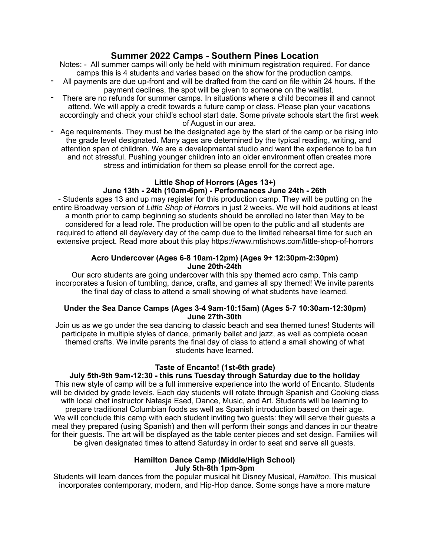# **Summer 2022 Camps - Southern Pines Location**

Notes: - All summer camps will only be held with minimum registration required. For dance camps this is 4 students and varies based on the show for the production camps.

- All payments are due up-front and will be drafted from the card on file within 24 hours. If the payment declines, the spot will be given to someone on the waitlist.
- There are no refunds for summer camps. In situations where a child becomes ill and cannot attend. We will apply a credit towards a future camp or class. Please plan your vacations accordingly and check your child's school start date. Some private schools start the first week of August in our area.
- Age requirements. They must be the designated age by the start of the camp or be rising into the grade level designated. Many ages are determined by the typical reading, writing, and attention span of children. We are a developmental studio and want the experience to be fun and not stressful. Pushing younger children into an older environment often creates more stress and intimidation for them so please enroll for the correct age.

#### **Little Shop of Horrors (Ages 13+) June 13th - 24th (10am-6pm) - Performances June 24th - 26th**

- Students ages 13 and up may register for this production camp. They will be putting on the entire Broadway version of *Little Shop of Horrors* in just 2 weeks. We will hold auditions at least a month prior to camp beginning so students should be enrolled no later than May to be considered for a lead role. The production will be open to the public and all students are required to attend all day/every day of the camp due to the limited rehearsal time for such an extensive project. Read more about this play https://www.mtishows.com/little-shop-of-horrors

# **Acro Undercover (Ages 6-8 10am-12pm) (Ages 9+ 12:30pm-2:30pm) June 20th-24th**

Our acro students are going undercover with this spy themed acro camp. This camp incorporates a fusion of tumbling, dance, crafts, and games all spy themed! We invite parents the final day of class to attend a small showing of what students have learned.

# **Under the Sea Dance Camps (Ages 3-4 9am-10:15am) (Ages 5-7 10:30am-12:30pm) June 27th-30th**

Join us as we go under the sea dancing to classic beach and sea themed tunes! Students will participate in multiple styles of dance, primarily ballet and jazz, as well as complete ocean themed crafts. We invite parents the final day of class to attend a small showing of what students have learned.

# **Taste of Encanto! (1st-6th grade)**

**July 5th-9th 9am-12:30 - this runs Tuesday through Saturday due to the holiday**  This new style of camp will be a full immersive experience into the world of Encanto. Students will be divided by grade levels. Each day students will rotate through Spanish and Cooking class with local chef instructor Natasja Esed, Dance, Music, and Art. Students will be learning to prepare traditional Columbian foods as well as Spanish introduction based on their age. We will conclude this camp with each student inviting two quests: they will serve their quests a meal they prepared (using Spanish) and then will perform their songs and dances in our theatre for their guests. The art will be displayed as the table center pieces and set design. Families will be given designated times to attend Saturday in order to seat and serve all guests.

### **Hamilton Dance Camp (Middle/High School) July 5th-8th 1pm-3pm**

Students will learn dances from the popular musical hit Disney Musical, *Hamilton*. This musical incorporates contemporary, modern, and Hip-Hop dance. Some songs have a more mature